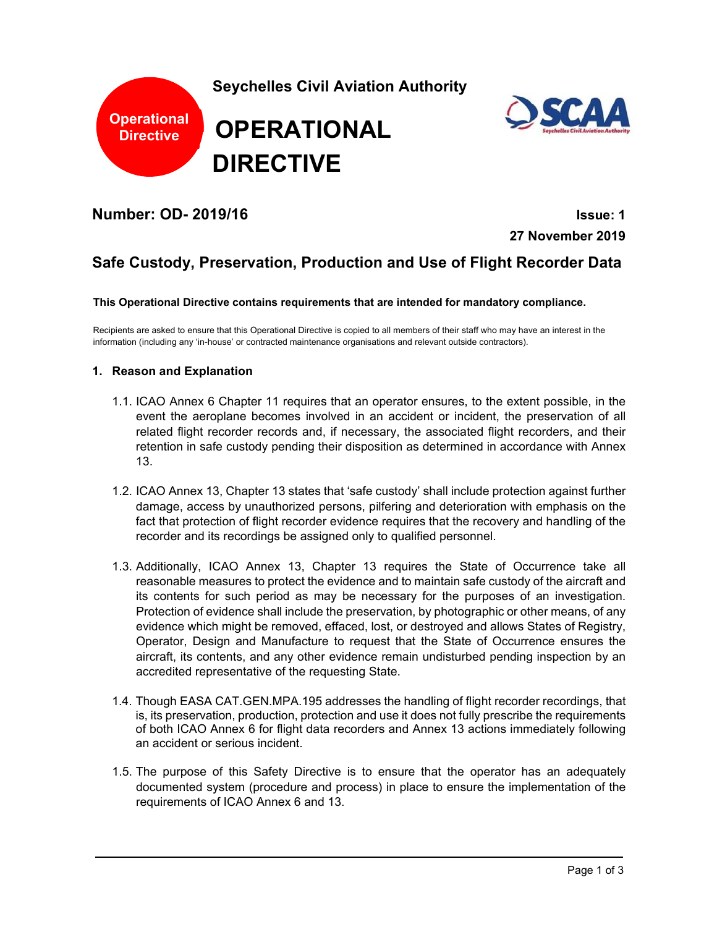

**Number: OD- 2019/16 Issue: 1** 

**27 November 2019** 

# **Safe Custody, Preservation, Production and Use of Flight Recorder Data**

**This Operational Directive contains requirements that are intended for mandatory compliance.**

Recipients are asked to ensure that this Operational Directive is copied to all members of their staff who may have an interest in the information (including any 'in-house' or contracted maintenance organisations and relevant outside contractors).

#### **1. Reason and Explanation**

- 1.1. ICAO Annex 6 Chapter 11 requires that an operator ensures, to the extent possible, in the event the aeroplane becomes involved in an accident or incident, the preservation of all related flight recorder records and, if necessary, the associated flight recorders, and their retention in safe custody pending their disposition as determined in accordance with Annex 13.
- 1.2. ICAO Annex 13, Chapter 13 states that 'safe custody' shall include protection against further damage, access by unauthorized persons, pilfering and deterioration with emphasis on the fact that protection of flight recorder evidence requires that the recovery and handling of the recorder and its recordings be assigned only to qualified personnel.
- 1.3. Additionally, ICAO Annex 13, Chapter 13 requires the State of Occurrence take all reasonable measures to protect the evidence and to maintain safe custody of the aircraft and its contents for such period as may be necessary for the purposes of an investigation. Protection of evidence shall include the preservation, by photographic or other means, of any evidence which might be removed, effaced, lost, or destroyed and allows States of Registry, Operator, Design and Manufacture to request that the State of Occurrence ensures the aircraft, its contents, and any other evidence remain undisturbed pending inspection by an accredited representative of the requesting State.
- 1.4. Though EASA CAT.GEN.MPA.195 addresses the handling of flight recorder recordings, that is, its preservation, production, protection and use it does not fully prescribe the requirements of both ICAO Annex 6 for flight data recorders and Annex 13 actions immediately following an accident or serious incident.
- 1.5. The purpose of this Safety Directive is to ensure that the operator has an adequately documented system (procedure and process) in place to ensure the implementation of the requirements of ICAO Annex 6 and 13.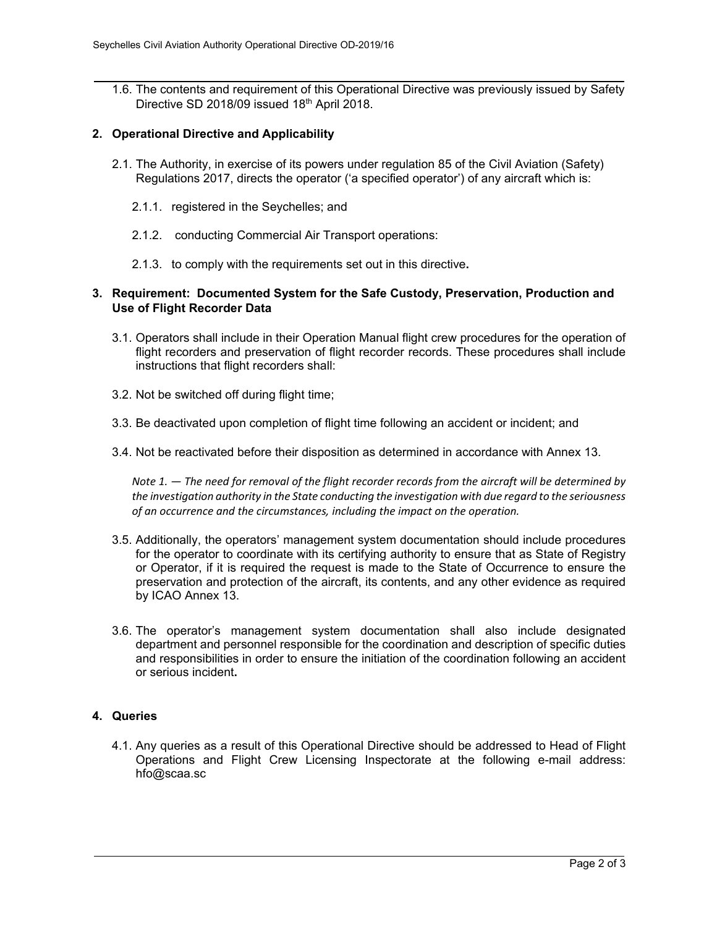1.6. The contents and requirement of this Operational Directive was previously issued by Safety Directive SD 2018/09 issued 18th April 2018.

#### **2. Operational Directive and Applicability**

- 2.1. The Authority, in exercise of its powers under regulation 85 of the Civil Aviation (Safety) Regulations 2017, directs the operator ('a specified operator') of any aircraft which is:
	- 2.1.1. registered in the Seychelles; and
	- 2.1.2. conducting Commercial Air Transport operations:
	- 2.1.3. to comply with the requirements set out in this directive**.**

## **3. Requirement: Documented System for the Safe Custody, Preservation, Production and Use of Flight Recorder Data**

- 3.1. Operators shall include in their Operation Manual flight crew procedures for the operation of flight recorders and preservation of flight recorder records. These procedures shall include instructions that flight recorders shall:
- 3.2. Not be switched off during flight time;
- 3.3. Be deactivated upon completion of flight time following an accident or incident; and
- 3.4. Not be reactivated before their disposition as determined in accordance with Annex 13.

*Note 1. — The need for removal of the flight recorder records from the aircraft will be determined by the investigation authority in the State conducting the investigation with due regard to the seriousness of an occurrence and the circumstances, including the impact on the operation.* 

- 3.5. Additionally, the operators' management system documentation should include procedures for the operator to coordinate with its certifying authority to ensure that as State of Registry or Operator, if it is required the request is made to the State of Occurrence to ensure the preservation and protection of the aircraft, its contents, and any other evidence as required by ICAO Annex 13.
- 3.6. The operator's management system documentation shall also include designated department and personnel responsible for the coordination and description of specific duties and responsibilities in order to ensure the initiation of the coordination following an accident or serious incident**.**

## **4. Queries**

4.1. Any queries as a result of this Operational Directive should be addressed to Head of Flight Operations and Flight Crew Licensing Inspectorate at the following e-mail address: hfo@scaa.sc